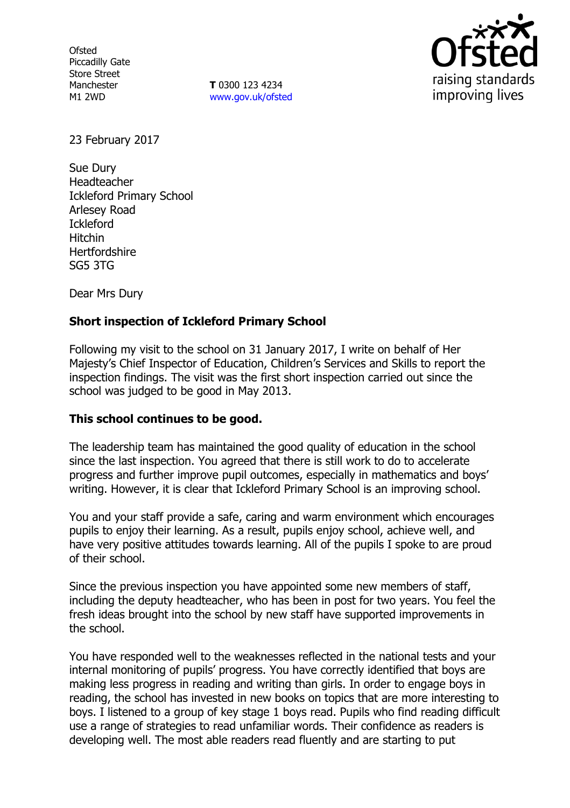**Ofsted** Piccadilly Gate Store Street Manchester M1 2WD

**T** 0300 123 4234 www.gov.uk/ofsted



23 February 2017

Sue Dury Headteacher Ickleford Primary School Arlesey Road Ickleford Hitchin **Hertfordshire** SG5 3TG

Dear Mrs Dury

# **Short inspection of Ickleford Primary School**

Following my visit to the school on 31 January 2017, I write on behalf of Her Majesty's Chief Inspector of Education, Children's Services and Skills to report the inspection findings. The visit was the first short inspection carried out since the school was judged to be good in May 2013.

## **This school continues to be good.**

The leadership team has maintained the good quality of education in the school since the last inspection. You agreed that there is still work to do to accelerate progress and further improve pupil outcomes, especially in mathematics and boys' writing. However, it is clear that Ickleford Primary School is an improving school.

You and your staff provide a safe, caring and warm environment which encourages pupils to enjoy their learning. As a result, pupils enjoy school, achieve well, and have very positive attitudes towards learning. All of the pupils I spoke to are proud of their school.

Since the previous inspection you have appointed some new members of staff, including the deputy headteacher, who has been in post for two years. You feel the fresh ideas brought into the school by new staff have supported improvements in the school.

You have responded well to the weaknesses reflected in the national tests and your internal monitoring of pupils' progress. You have correctly identified that boys are making less progress in reading and writing than girls. In order to engage boys in reading, the school has invested in new books on topics that are more interesting to boys. I listened to a group of key stage 1 boys read. Pupils who find reading difficult use a range of strategies to read unfamiliar words. Their confidence as readers is developing well. The most able readers read fluently and are starting to put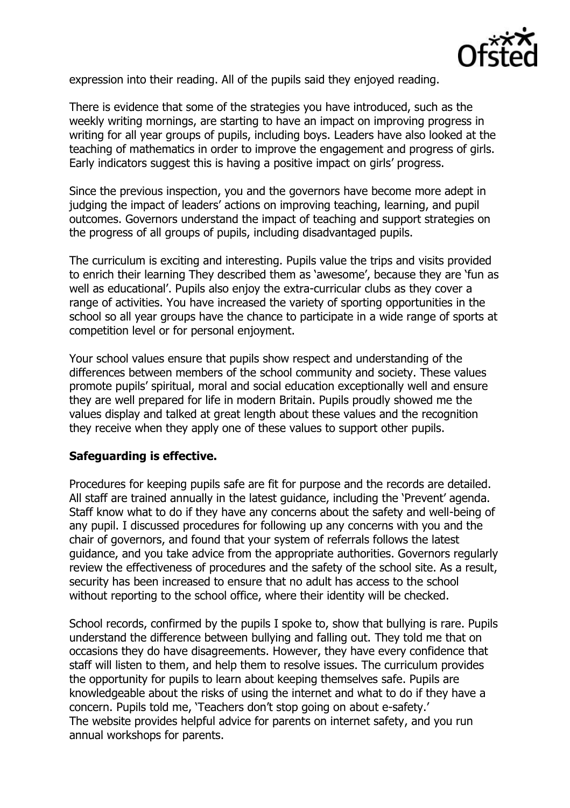

expression into their reading. All of the pupils said they enjoyed reading.

There is evidence that some of the strategies you have introduced, such as the weekly writing mornings, are starting to have an impact on improving progress in writing for all year groups of pupils, including boys. Leaders have also looked at the teaching of mathematics in order to improve the engagement and progress of girls. Early indicators suggest this is having a positive impact on girls' progress.

Since the previous inspection, you and the governors have become more adept in judging the impact of leaders' actions on improving teaching, learning, and pupil outcomes. Governors understand the impact of teaching and support strategies on the progress of all groups of pupils, including disadvantaged pupils.

The curriculum is exciting and interesting. Pupils value the trips and visits provided to enrich their learning They described them as 'awesome', because they are 'fun as well as educational'. Pupils also enjoy the extra-curricular clubs as they cover a range of activities. You have increased the variety of sporting opportunities in the school so all year groups have the chance to participate in a wide range of sports at competition level or for personal enjoyment.

Your school values ensure that pupils show respect and understanding of the differences between members of the school community and society. These values promote pupils' spiritual, moral and social education exceptionally well and ensure they are well prepared for life in modern Britain. Pupils proudly showed me the values display and talked at great length about these values and the recognition they receive when they apply one of these values to support other pupils.

### **Safeguarding is effective.**

Procedures for keeping pupils safe are fit for purpose and the records are detailed. All staff are trained annually in the latest guidance, including the 'Prevent' agenda. Staff know what to do if they have any concerns about the safety and well-being of any pupil. I discussed procedures for following up any concerns with you and the chair of governors, and found that your system of referrals follows the latest guidance, and you take advice from the appropriate authorities. Governors regularly review the effectiveness of procedures and the safety of the school site. As a result, security has been increased to ensure that no adult has access to the school without reporting to the school office, where their identity will be checked.

School records, confirmed by the pupils I spoke to, show that bullying is rare. Pupils understand the difference between bullying and falling out. They told me that on occasions they do have disagreements. However, they have every confidence that staff will listen to them, and help them to resolve issues. The curriculum provides the opportunity for pupils to learn about keeping themselves safe. Pupils are knowledgeable about the risks of using the internet and what to do if they have a concern. Pupils told me, 'Teachers don't stop going on about e-safety.' The website provides helpful advice for parents on internet safety, and you run annual workshops for parents.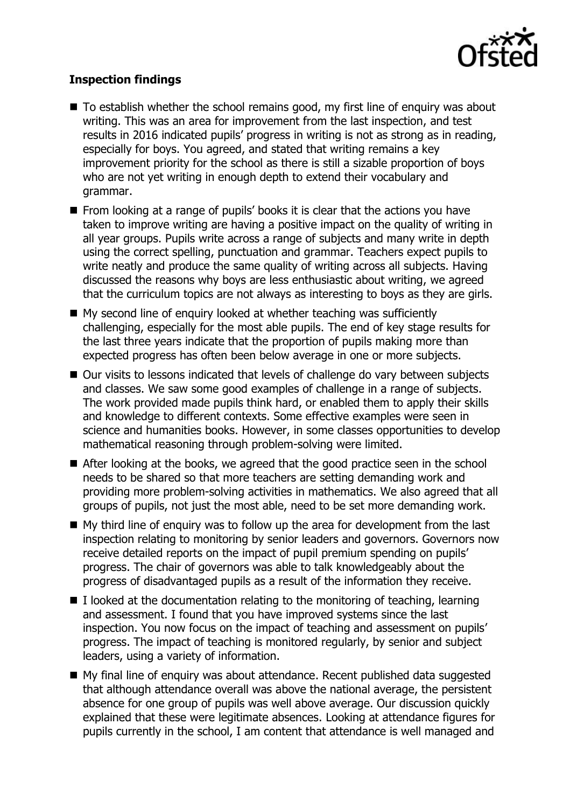

### **Inspection findings**

- $\blacksquare$  To establish whether the school remains good, my first line of enquiry was about writing. This was an area for improvement from the last inspection, and test results in 2016 indicated pupils' progress in writing is not as strong as in reading, especially for boys. You agreed, and stated that writing remains a key improvement priority for the school as there is still a sizable proportion of boys who are not yet writing in enough depth to extend their vocabulary and grammar.
- $\blacksquare$  From looking at a range of pupils' books it is clear that the actions you have taken to improve writing are having a positive impact on the quality of writing in all year groups. Pupils write across a range of subjects and many write in depth using the correct spelling, punctuation and grammar. Teachers expect pupils to write neatly and produce the same quality of writing across all subjects. Having discussed the reasons why boys are less enthusiastic about writing, we agreed that the curriculum topics are not always as interesting to boys as they are girls.
- My second line of enquiry looked at whether teaching was sufficiently challenging, especially for the most able pupils. The end of key stage results for the last three years indicate that the proportion of pupils making more than expected progress has often been below average in one or more subjects.
- Our visits to lessons indicated that levels of challenge do vary between subjects and classes. We saw some good examples of challenge in a range of subjects. The work provided made pupils think hard, or enabled them to apply their skills and knowledge to different contexts. Some effective examples were seen in science and humanities books. However, in some classes opportunities to develop mathematical reasoning through problem-solving were limited.
- After looking at the books, we agreed that the good practice seen in the school needs to be shared so that more teachers are setting demanding work and providing more problem-solving activities in mathematics. We also agreed that all groups of pupils, not just the most able, need to be set more demanding work.
- $\blacksquare$  My third line of enquiry was to follow up the area for development from the last inspection relating to monitoring by senior leaders and governors. Governors now receive detailed reports on the impact of pupil premium spending on pupils' progress. The chair of governors was able to talk knowledgeably about the progress of disadvantaged pupils as a result of the information they receive.
- $\blacksquare$  I looked at the documentation relating to the monitoring of teaching, learning and assessment. I found that you have improved systems since the last inspection. You now focus on the impact of teaching and assessment on pupils' progress. The impact of teaching is monitored regularly, by senior and subject leaders, using a variety of information.
- My final line of enquiry was about attendance. Recent published data suggested that although attendance overall was above the national average, the persistent absence for one group of pupils was well above average. Our discussion quickly explained that these were legitimate absences. Looking at attendance figures for pupils currently in the school, I am content that attendance is well managed and